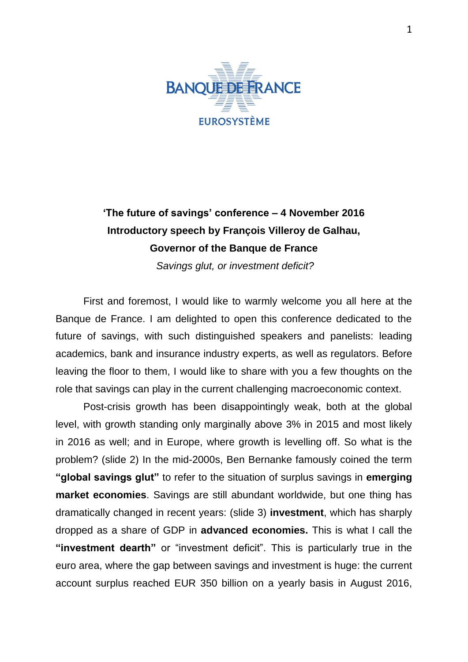

## **'The future of savings' conference – 4 November 2016 Introductory speech by François Villeroy de Galhau, Governor of the Banque de France**

*Savings glut, or investment deficit?*

First and foremost, I would like to warmly welcome you all here at the Banque de France. I am delighted to open this conference dedicated to the future of savings, with such distinguished speakers and panelists: leading academics, bank and insurance industry experts, as well as regulators. Before leaving the floor to them, I would like to share with you a few thoughts on the role that savings can play in the current challenging macroeconomic context.

Post-crisis growth has been disappointingly weak, both at the global level, with growth standing only marginally above 3% in 2015 and most likely in 2016 as well; and in Europe, where growth is levelling off. So what is the problem? (slide 2) In the mid-2000s, Ben Bernanke famously coined the term **"global savings glut"** to refer to the situation of surplus savings in **emerging market economies**. Savings are still abundant worldwide, but one thing has dramatically changed in recent years: (slide 3) **investment**, which has sharply dropped as a share of GDP in **advanced economies.** This is what I call the **"investment dearth"** or "investment deficit". This is particularly true in the euro area, where the gap between savings and investment is huge: the current account surplus reached EUR 350 billion on a yearly basis in August 2016,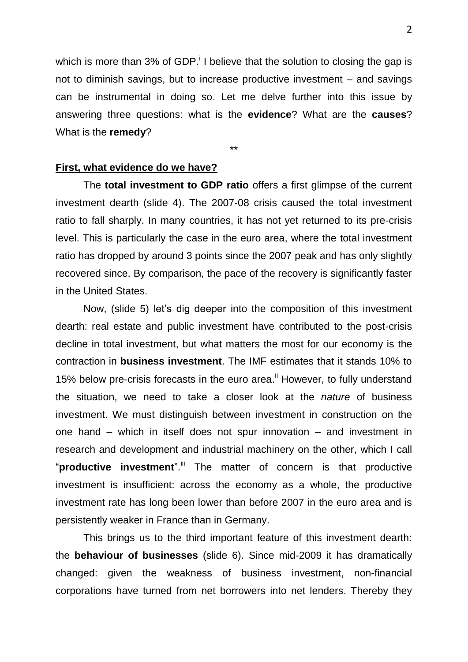which is more than 3% of GDP. I believe that the solution to closing the gap is not to diminish savings, but to increase productive investment – and savings can be instrumental in doing so. Let me delve further into this issue by answering three questions: what is the **evidence**? What are the **causes**? What is the **remedy**?

\*\*

**First, what evidence do we have?**

The **total investment to GDP ratio** offers a first glimpse of the current investment dearth (slide 4). The 2007-08 crisis caused the total investment ratio to fall sharply. In many countries, it has not yet returned to its pre-crisis level. This is particularly the case in the euro area, where the total investment ratio has dropped by around 3 points since the 2007 peak and has only slightly recovered since. By comparison, the pace of the recovery is significantly faster in the United States.

Now, (slide 5) let's dig deeper into the composition of this investment dearth: real estate and public investment have contributed to the post-crisis decline in total investment, but what matters the most for our economy is the contraction in **business investment**. The IMF estimates that it stands 10% to 15% below pre-crisis forecasts in the euro area.<sup>ii</sup> However, to fully understand the situation, we need to take a closer look at the *nature* of business investment. We must distinguish between investment in construction on the one hand – which in itself does not spur innovation – and investment in research and development and industrial machinery on the other, which I call "**productive investment**". iii The matter of concern is that productive investment is insufficient: across the economy as a whole, the productive investment rate has long been lower than before 2007 in the euro area and is persistently weaker in France than in Germany.

This brings us to the third important feature of this investment dearth: the **behaviour of businesses** (slide 6). Since mid-2009 it has dramatically changed: given the weakness of business investment, non-financial corporations have turned from net borrowers into net lenders. Thereby they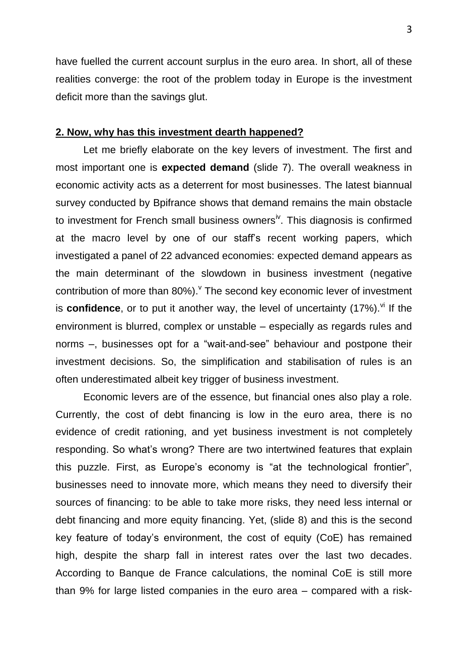have fuelled the current account surplus in the euro area. In short, all of these realities converge: the root of the problem today in Europe is the investment deficit more than the savings glut.

## **2. Now, why has this investment dearth happened?**

Let me briefly elaborate on the key levers of investment. The first and most important one is **expected demand** (slide 7). The overall weakness in economic activity acts as a deterrent for most businesses. The latest biannual survey conducted by Bpifrance shows that demand remains the main obstacle to investment for French small business owners<sup>iv</sup>. This diagnosis is confirmed at the macro level by one of our staff's recent working papers, which investigated a panel of 22 advanced economies: expected demand appears as the main determinant of the slowdown in business investment (negative contribution of more than  $80\%$ ). The second key economic lever of investment is **confidence**, or to put it another way, the level of uncertainty (17%). Vil f the environment is blurred, complex or unstable – especially as regards rules and norms –, businesses opt for a "wait-and-see" behaviour and postpone their investment decisions. So, the simplification and stabilisation of rules is an often underestimated albeit key trigger of business investment.

Economic levers are of the essence, but financial ones also play a role. Currently, the cost of debt financing is low in the euro area, there is no evidence of credit rationing, and yet business investment is not completely responding. So what's wrong? There are two intertwined features that explain this puzzle. First, as Europe's economy is "at the technological frontier", businesses need to innovate more, which means they need to diversify their sources of financing: to be able to take more risks, they need less internal or debt financing and more equity financing. Yet, (slide 8) and this is the second key feature of today's environment, the cost of equity (CoE) has remained high, despite the sharp fall in interest rates over the last two decades. According to Banque de France calculations, the nominal CoE is still more than 9% for large listed companies in the euro area – compared with a risk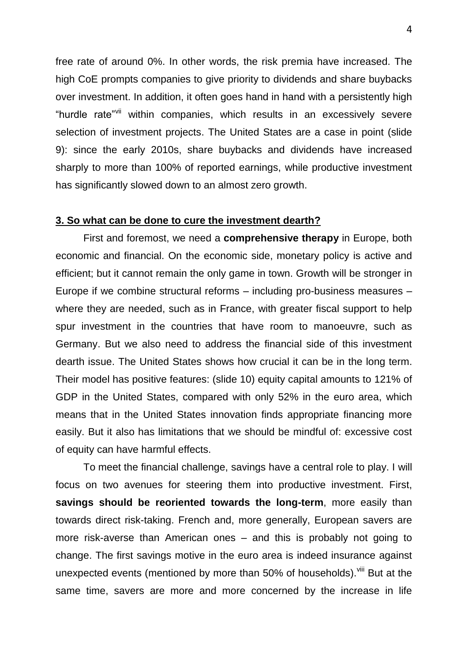free rate of around 0%. In other words, the risk premia have increased. The high CoE prompts companies to give priority to dividends and share buybacks over investment. In addition, it often goes hand in hand with a persistently high "hurdle rate"vii within companies, which results in an excessively severe selection of investment projects. The United States are a case in point (slide 9): since the early 2010s, share buybacks and dividends have increased sharply to more than 100% of reported earnings, while productive investment has significantly slowed down to an almost zero growth.

## **3. So what can be done to cure the investment dearth?**

First and foremost, we need a **comprehensive therapy** in Europe, both economic and financial. On the economic side, monetary policy is active and efficient; but it cannot remain the only game in town. Growth will be stronger in Europe if we combine structural reforms – including pro-business measures – where they are needed, such as in France, with greater fiscal support to help spur investment in the countries that have room to manoeuvre, such as Germany. But we also need to address the financial side of this investment dearth issue. The United States shows how crucial it can be in the long term. Their model has positive features: (slide 10) equity capital amounts to 121% of GDP in the United States, compared with only 52% in the euro area, which means that in the United States innovation finds appropriate financing more easily. But it also has limitations that we should be mindful of: excessive cost of equity can have harmful effects.

To meet the financial challenge, savings have a central role to play. I will focus on two avenues for steering them into productive investment. First, **savings should be reoriented towards the long-term**, more easily than towards direct risk-taking. French and, more generally, European savers are more risk-averse than American ones – and this is probably not going to change. The first savings motive in the euro area is indeed insurance against unexpected events (mentioned by more than 50% of households).<sup>Viii</sup> But at the same time, savers are more and more concerned by the increase in life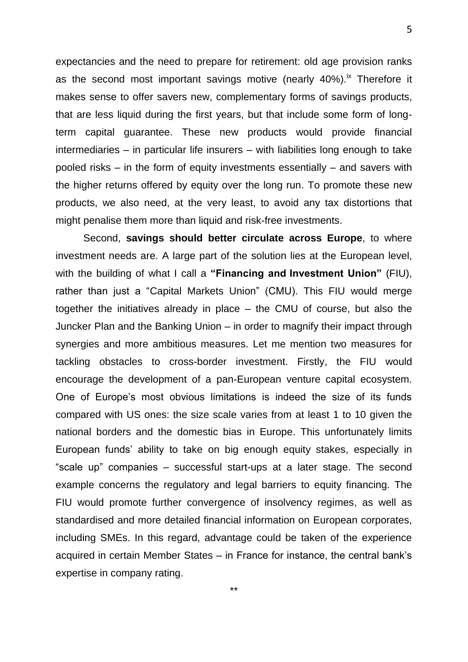expectancies and the need to prepare for retirement: old age provision ranks as the second most important savings motive (nearly 40%).<sup>ix</sup> Therefore it makes sense to offer savers new, complementary forms of savings products, that are less liquid during the first years, but that include some form of longterm capital guarantee. These new products would provide financial intermediaries – in particular life insurers – with liabilities long enough to take pooled risks – in the form of equity investments essentially – and savers with the higher returns offered by equity over the long run. To promote these new products, we also need, at the very least, to avoid any tax distortions that might penalise them more than liquid and risk-free investments.

Second, **savings should better circulate across Europe**, to where investment needs are. A large part of the solution lies at the European level, with the building of what I call a **"Financing and Investment Union"** (FIU), rather than just a "Capital Markets Union" (CMU). This FIU would merge together the initiatives already in place – the CMU of course, but also the Juncker Plan and the Banking Union – in order to magnify their impact through synergies and more ambitious measures. Let me mention two measures for tackling obstacles to cross-border investment. Firstly, the FIU would encourage the development of a pan-European venture capital ecosystem. One of Europe's most obvious limitations is indeed the size of its funds compared with US ones: the size scale varies from at least 1 to 10 given the national borders and the domestic bias in Europe. This unfortunately limits European funds' ability to take on big enough equity stakes, especially in "scale up" companies – successful start-ups at a later stage. The second example concerns the regulatory and legal barriers to equity financing. The FIU would promote further convergence of insolvency regimes, as well as standardised and more detailed financial information on European corporates, including SMEs. In this regard, advantage could be taken of the experience acquired in certain Member States – in France for instance, the central bank's expertise in company rating.

5